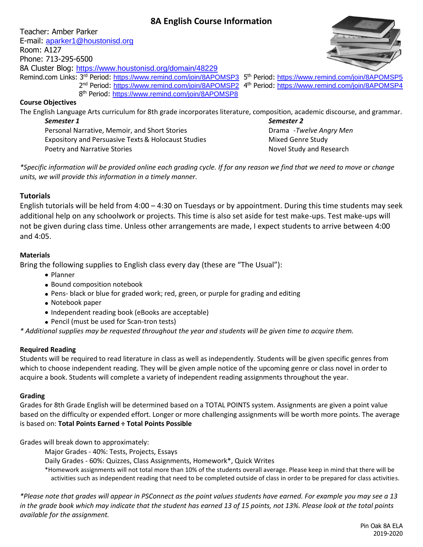# **8A English Course Information**

Teacher: Amber Parker E-mail: [aparker1@houstonisd.org](mailto:aparker1@houstonisd.org) Room: A127 Phone: 713-295-6500 8A Cluster Blog: <https://www.houstonisd.org/domain/48229> Remind.com Links: 3<sup>rd</sup> Period: <https://www.remind.com/join/8APOMSP3> 5<sup>th</sup> Period: <https://www.remind.com/join/8APOMSP5> 2<sup>nd</sup> Period: <https://www.remind.com/join/8APOMSP2> 4<sup>th</sup> Period: <https://www.remind.com/join/8APOMSP4> 8<sup>th</sup> Period: <https://www.remind.com/join/8APOMSP8> **Course Objectives** The English Language Arts curriculum for 8th grade incorporates literature, composition, academic discourse, and grammar. *Semester 1 Semester 2* Personal Narrative, Memoir, and Short Stories Drama -*Twelve Angry Men* Expository and Persuasive Texts & Holocaust Studies Mixed Genre Study Poetry and Narrative Stories Novel Study and Research

*\*Specific information will be provided online each grading cycle. If for any reason we find that we need to move or change units, we will provide this information in a timely manner.*

## **Tutorials**

English tutorials will be held from 4:00 – 4:30 on Tuesdays or by appointment. During this time students may seek additional help on any schoolwork or projects. This time is also set aside for test make-ups. Test make-ups will not be given during class time. Unless other arrangements are made, I expect students to arrive between 4:00 and 4:05.

## **Materials**

Bring the following supplies to English class every day (these are "The Usual"):

- Planner
- Bound composition notebook
- Pens- black or blue for graded work; red, green, or purple for grading and editing
- Notebook paper
- Independent reading book (eBooks are acceptable)
- Pencil (must be used for Scan-tron tests)

*\* Additional supplies may be requested throughout the year and students will be given time to acquire them.*

## **Required Reading**

Students will be required to read literature in class as well as independently. Students will be given specific genres from which to choose independent reading. They will be given ample notice of the upcoming genre or class novel in order to acquire a book. Students will complete a variety of independent reading assignments throughout the year.

## **Grading**

Grades for 8th Grade English will be determined based on a TOTAL POINTS system. Assignments are given a point value based on the difficulty or expended effort. Longer or more challenging assignments will be worth more points. The average is based on: **Total Points Earned ÷ Total Points Possible**

Grades will break down to approximately:

Major Grades - 40%: Tests, Projects, Essays

Daily Grades - 60%: Quizzes, Class Assignments, Homework\*, Quick Writes

\*Homework assignments will not total more than 10% of the students overall average. Please keep in mind that there will be activities such as independent reading that need to be completed outside of class in order to be prepared for class activities.

*\*Please note that grades will appear in PSConnect as the point values students have earned. For example you may see a 13 in the grade book which may indicate that the student has earned 13 of 15 points, not 13%. Please look at the total points available for the assignment.*